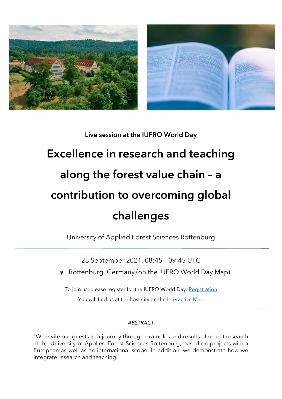

# Live session at the IUFRO World Day

# Excellence in research and teaching along the forest value chain – a contribution to overcoming global challenges

University of Applied Forest Sciences Rottenburg

28 September 2021, 08:45 – 09:45 UTC

Rottenburg, Germany (on the IUFRO World Day Map)

To join us, please register for the IUFRO World Day: [Registration](https://www.iufroworldday.org/participation) You will find us at the host city on the [Interactive Map](https://www.iufroworldday.org/interactive-map)

## *ABSTRACT*

"We invite our guests to a journey through examples and results of recent research at the University of Applied Forest Sciences Rottenburg, based on projects with a European as well as an international scope. In addition, we demonstrate how we integrate research and teaching.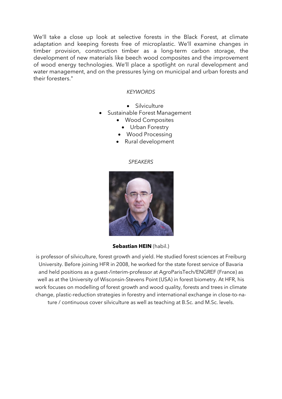We'll take a close up look at selective forests in the Black Forest, at climate adaptation and keeping forests free of microplastic. We'll examine changes in timber provision, construction timber as a long-term carbon storage, the development of new materials like beech wood composites and the improvement of wood energy technologies. We'll place a spotlight on rural development and water management, and on the pressures lying on municipal and urban forests and their foresters."

#### *KEYWORDS*

- Silviculture
- Sustainable Forest Management
	- Wood Composites
		- Urban Forestry
	- Wood Processing
	- Rural development

#### *SPEAKERS*



**Sebastian HEIN** (habil.)

is professor of silviculture, forest growth and yield. He studied forest sciences at Freiburg University. Before joining HFR in 2008, he worked for the state forest service of Bavaria and held positions as a guest-/interim-professor at AgroParisTech/ENGREF (France) as well as at the University of Wisconsin-Stevens Point (USA) in forest biometry. At HFR, his work focuses on modelling of forest growth and wood quality, forests and trees in climate change, plastic-reduction strategies in forestry and international exchange in close-to-nature / continuous cover silviculture as well as teaching at B.Sc. and M.Sc. levels.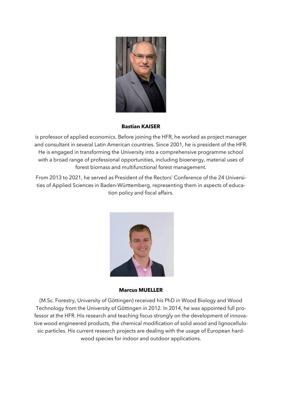

#### **Bastian KAISER**

is professor of applied economics. Before joining the HFR, he worked as project manager and consultant in several Latin American countries. Since 2001, he is president of the HFR. He is engaged in transforming the University into a comprehensive programme school with a broad range of professional opportunities, including bioenergy, material uses of forest biomass and multifunctional forest management.

From 2013 to 2021, he served as President of the Rectors´ Conference of the 24 Universities of Applied Sciences in Baden-Württemberg, representing them in aspects of education policy and fiscal affairs.



**Marcus MUELLER**

(M.Sc. Forestry, University of Göttingen) received his PhD in Wood Biology and Wood Technology from the University of Göttingen in 2012. In 2014, he was appointed full professor at the HFR. His research and teaching focus strongly on the development of innovative wood engineered products, the chemical modification of solid wood and lignocellulosic particles. His current research projects are dealing with the usage of European hardwood species for indoor and outdoor applications.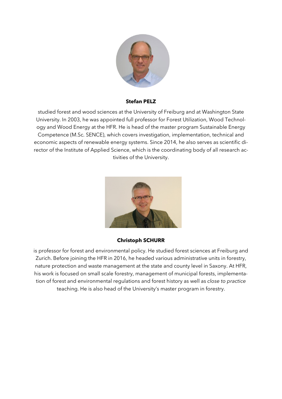

#### **Stefan PELZ**

studied forest and wood sciences at the University of Freiburg and at Washington State University. In 2003, he was appointed full professor for Forest Utilization, Wood Technology and Wood Energy at the HFR. He is head of the master program Sustainable Energy Competence (M.Sc. SENCE), which covers investigation, implementation, technical and economic aspects of renewable energy systems. Since 2014, he also serves as scientific director of the Institute of Applied Science, which is the coordinating body of all research activities of the University.



### **Christoph SCHURR**

is professor for forest and environmental policy. He studied forest sciences at Freiburg and Zurich. Before joining the HFR in 2016, he headed various administrative units in forestry, nature protection and waste management at the state and county level in Saxony. At HFR, his work is focused on small scale forestry, management of municipal forests, implementation of forest and environmental regulations and forest history as well as *close to practice* teaching. He is also head of the University's master program in forestry.